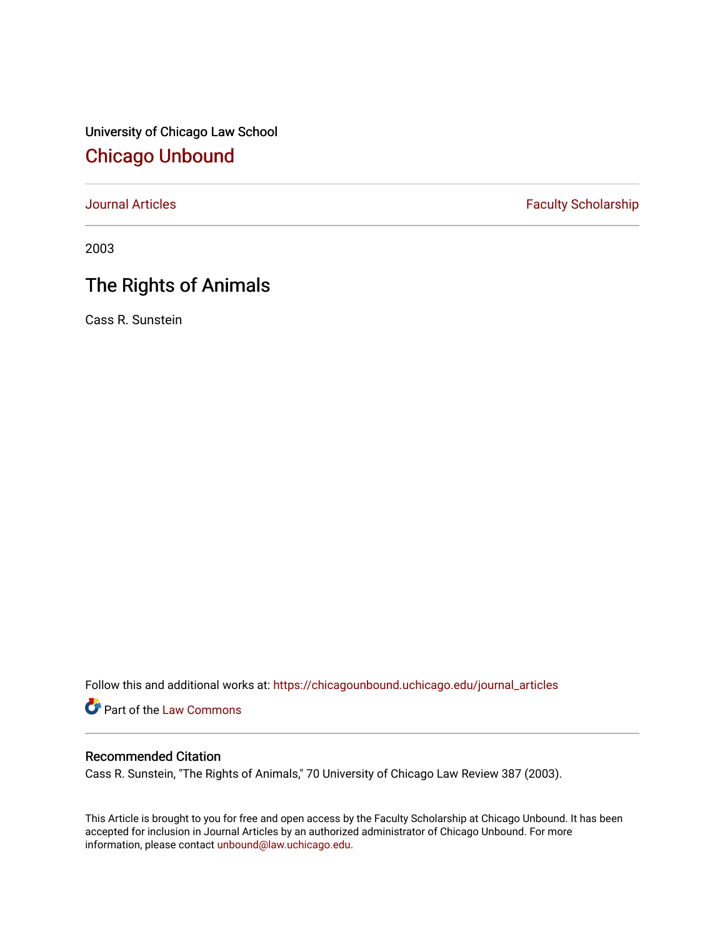University of Chicago Law School [Chicago Unbound](https://chicagounbound.uchicago.edu/)

[Journal Articles](https://chicagounbound.uchicago.edu/journal_articles) **Faculty Scholarship Faculty Scholarship** 

2003

# The Rights of Animals

Cass R. Sunstein

Follow this and additional works at: [https://chicagounbound.uchicago.edu/journal\\_articles](https://chicagounbound.uchicago.edu/journal_articles?utm_source=chicagounbound.uchicago.edu%2Fjournal_articles%2F8601&utm_medium=PDF&utm_campaign=PDFCoverPages) 

Part of the [Law Commons](http://network.bepress.com/hgg/discipline/578?utm_source=chicagounbound.uchicago.edu%2Fjournal_articles%2F8601&utm_medium=PDF&utm_campaign=PDFCoverPages)

# Recommended Citation

Cass R. Sunstein, "The Rights of Animals," 70 University of Chicago Law Review 387 (2003).

This Article is brought to you for free and open access by the Faculty Scholarship at Chicago Unbound. It has been accepted for inclusion in Journal Articles by an authorized administrator of Chicago Unbound. For more information, please contact [unbound@law.uchicago.edu](mailto:unbound@law.uchicago.edu).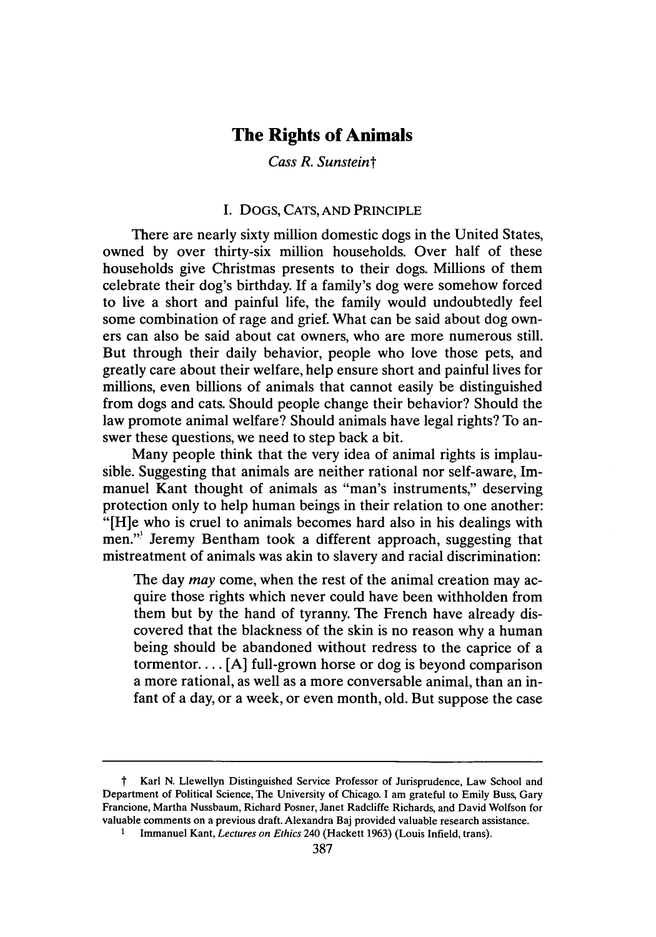# **The Rights of Animals**

# *Cass R. Sunsteint*

#### I. DOGS, CATS, AND PRINCIPLE

There are nearly sixty million domestic dogs in the United States, owned by over thirty-six million households. Over half of these households give Christmas presents to their dogs. Millions of them celebrate their dog's birthday. If a family's dog were somehow forced to live a short and painful life, the family would undoubtedly feel some combination of rage and grief. What can be said about dog owners can also be said about cat owners, who are more numerous still. But through their daily behavior, people who love those pets, and greatly care about their welfare, help ensure short and painful lives for millions, even billions of animals that cannot easily be distinguished from dogs and cats. Should people change their behavior? Should the law promote animal welfare? Should animals have legal rights? To answer these questions, we need to step back a bit.

Many people think that the very idea of animal rights is implausible. Suggesting that animals are neither rational nor self-aware, Immanuel Kant thought of animals as "man's instruments," deserving protection only to help human beings in their relation to one another: "[H]e who is cruel to animals becomes hard also in his dealings with men."' Jeremy Bentham took a different approach, suggesting that mistreatment of animals was akin to slavery and racial discrimination:

The day *may* come, when the rest of the animal creation may acquire those rights which never could have been withholden from them but by the hand of tyranny. The French have already discovered that the blackness of the skin is no reason why a human being should be abandoned without redress to the caprice of a tormentor.... [A] full-grown horse or dog is beyond comparison a more rational, as well as a more conversable animal, than an infant of a day, or a week, or even month, old. But suppose the case

t Karl N. Llewellyn Distinguished Service Professor of Jurisprudence, Law School and Department of Political Science, The University of Chicago. I am grateful to Emily Buss, Gary Francione, Martha Nussbaum, Richard Posner, Janet Radcliffe Richards, and David Wolfson for valuable comments on a previous draft. Alexandra Baj provided valuable research assistance.

<sup>1</sup> Immanuel Kant, *Lectures on Ethics* 240 (Hackett 1963) (Louis Infield, trans).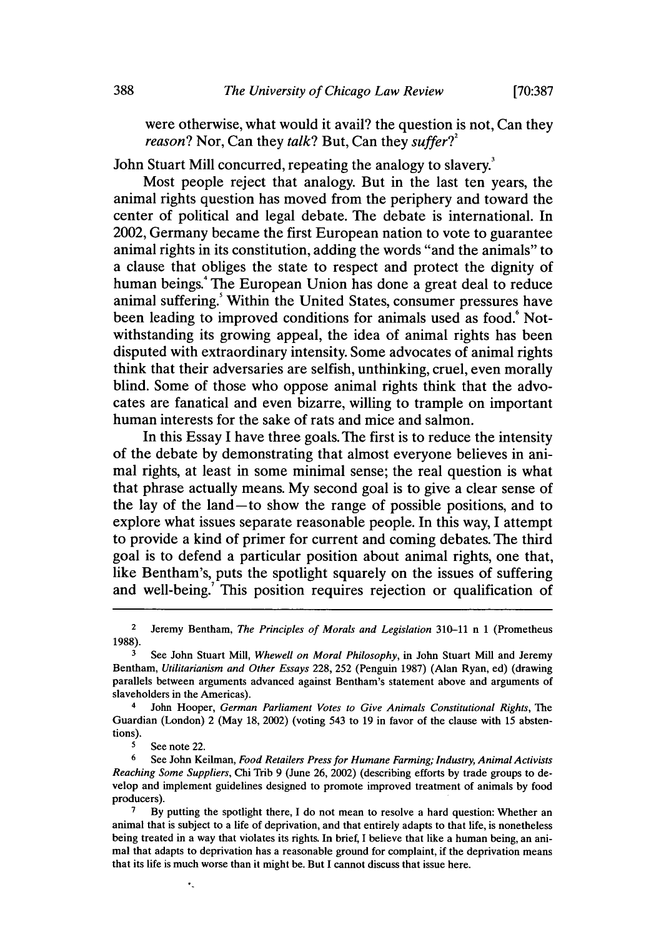were otherwise, what would it avail? the question is not, Can they *reason?* Nor, Can they *talk?* But, Can they *suffer?*<sup>2</sup>

John Stuart Mill concurred, repeating the analogy to slavery.'

Most people reject that analogy. But in the last ten years, the animal rights question has moved from the periphery and toward the center of political and legal debate. The debate is international. In 2002, Germany became the first European nation to vote to guarantee animal rights in its constitution, adding the words "and the animals" to a clause that obliges the state to respect and protect the dignity of human beings.<sup>4</sup> The European Union has done a great deal to reduce animal suffering.' Within the United States, consumer pressures have been leading to improved conditions for animals used as food.<sup>6</sup> Notwithstanding its growing appeal, the idea of animal rights has been disputed with extraordinary intensity. Some advocates of animal rights think that their adversaries are selfish, unthinking, cruel, even morally blind. Some of those who oppose animal rights think that the advocates are fanatical and even bizarre, willing to trample on important human interests for the sake of rats and mice and salmon.

In this Essay I have three goals. The first is to reduce the intensity of the debate by demonstrating that almost everyone believes in animal rights, at least in some minimal sense; the real question is what that phrase actually means. My second goal is to give a clear sense of the lay of the land-to show the range of possible positions, and to explore what issues separate reasonable people. In this way, I attempt to provide a kind of primer for current and coming debates. The third goal is to defend a particular position about animal rights, one that, like Bentham's, puts the spotlight squarely on the issues of suffering and well-being.<sup>7</sup> This position requires rejection or qualification of

4 John Hooper, *German Parliament Votes to Give Animals Constitutional Rights, The* Guardian (London) 2 (May 18, 2002) (voting 543 to 19 in favor of the clause with 15 abstentions).

See note 22.

<sup>6</sup>See John Keilman, *Food Retailers Press for Humane Farming; Industry, Animal Activists Reaching Some Suppliers,* Chi Trib 9 (June 26, 2002) (describing efforts by trade groups to develop and implement guidelines designed to promote improved treatment of animals by food producers).

<sup>7</sup> By putting the spotlight there, I do not mean to resolve a hard question: Whether an animal that is subject to a life of deprivation, and that entirely adapts to that life, is nonetheless being treated in a way that violates its rights. In brief, I believe that like a human being, an animal that adapts to deprivation has a reasonable ground for complaint, if the deprivation means that its life is much worse than it might be. But I cannot discuss that issue here.

<sup>2</sup>Jeremy Bentham, *The Principles of Morals and Legislation* 310-11 n 1 (Prometheus 1988).

**<sup>3</sup>**See John Stuart Mill, *Whewell on Moral Philosophy,* in John Stuart Mill and Jeremy Bentham, *Utilitarianism and Other Essays* 228, 252 (Penguin 1987) (Alan Ryan, ed) (drawing parallels between arguments advanced against Bentham's statement above and arguments of slaveholders in the Americas).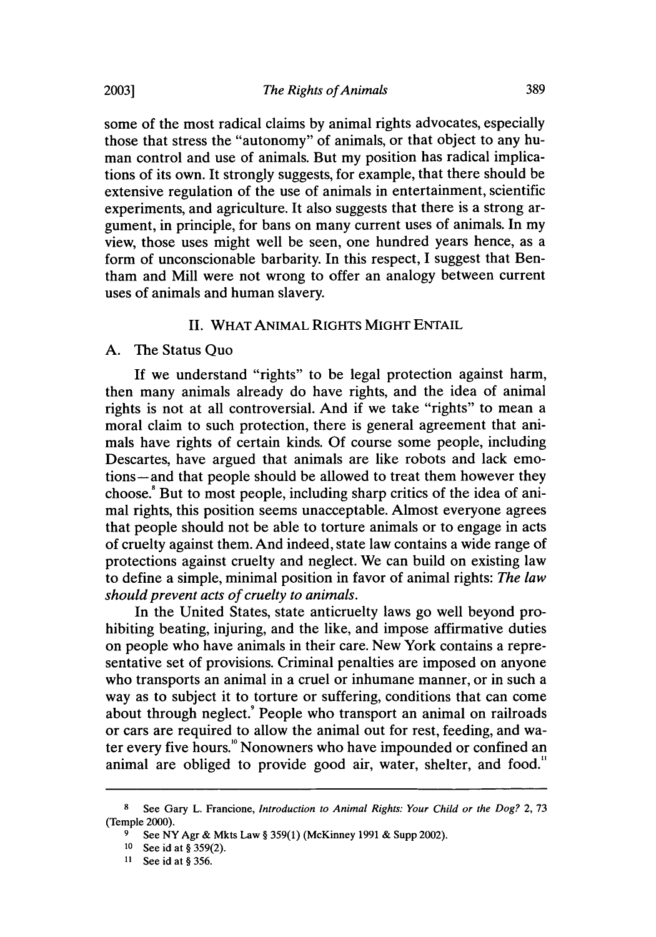some of the most radical claims by animal rights advocates, especially those that stress the "autonomy" of animals, or that object to any human control and use of animals. But my position has radical implications of its own. It strongly suggests, for example, that there should be extensive regulation of the use of animals in entertainment, scientific experiments, and agriculture. It also suggests that there is a strong argument, in principle, for bans on many current uses of animals. In my view, those uses might well be seen, one hundred years hence, as a form of unconscionable barbarity. In this respect, I suggest that Bentham and Mill were not wrong to offer an analogy between current uses of animals and human slavery.

## II. WHAT ANIMAL RIGHTS MIGHT **ENTAIL**

#### A. The Status Quo

If we understand "rights" to be legal protection against harm, then many animals already do have rights, and the idea of animal rights is not at all controversial. And if we take "rights" to mean a moral claim to such protection, there is general agreement that animals have rights of certain kinds. Of course some people, including Descartes, have argued that animals are like robots and lack emotions-and that people should be allowed to treat them however they choose.8 But to most people, including sharp critics of the idea of animal rights, this position seems unacceptable. Almost everyone agrees that people should not be able to torture animals or to engage in acts of cruelty against them. And indeed, state law contains a wide range of protections against cruelty and neglect. We can build on existing law to define a simple, minimal position in favor of animal rights: *The law should prevent acts of cruelty to animals.*

In the United States, state anticruelty laws go well beyond prohibiting beating, injuring, and the like, and impose affirmative duties on people who have animals in their care. New York contains a representative set of provisions. Criminal penalties are imposed on anyone who transports an animal in a cruel or inhumane manner, or in such a way as to subject it to torture or suffering, conditions that can come about through neglect.<sup>9</sup> People who transport an animal on railroads or cars are required to allow the animal out for rest, feeding, and water every five hours.'° Nonowners who have impounded or confined an animal are obliged to provide good air, water, shelter, and food."

<sup>8</sup> See Gary L. Francione, *Introduction to Animal Rights: Your Child or the Dog?* 2, 73 (Temple 2000).

See NY Agr & Mkts Law § 359(1) (McKinney 1991 & Supp 2002).

<sup>10</sup> See id at § 359(2).

<sup>11</sup> See id at § 356.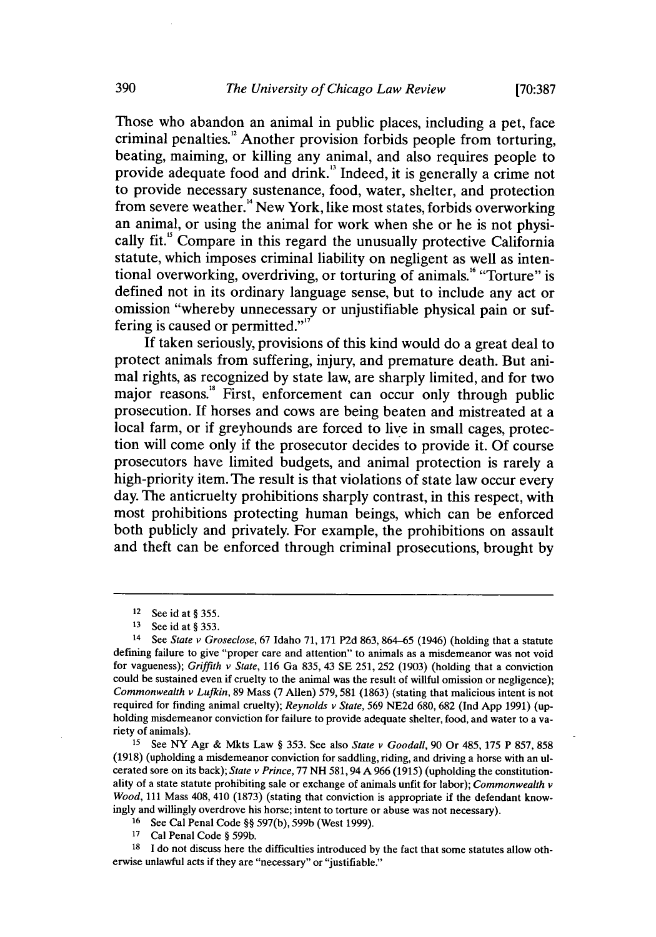**[70:387**

Those who abandon an animal in public places, including a pet, face criminal penalties.'2 Another provision forbids people from torturing, beating, maiming, or killing any animal, and also requires people to provide adequate food and drink.<sup>13</sup> Indeed, it is generally a crime not to provide necessary sustenance, food, water, shelter, and protection from severe weather.<sup>14</sup> New York, like most states, forbids overworking an animal, or using the animal for work when she or he is not physically fit." Compare in this regard the unusually protective California statute, which imposes criminal liability on negligent as well as intentional overworking, overdriving, or torturing of animals.<sup>16</sup> "Torture" is defined not in its ordinary language sense, but to include any act or omission "whereby unnecessary or unjustifiable physical pain or suffering is caused or permitted."<sup>17</sup>

If taken seriously, provisions of this kind would do a great deal to protect animals from suffering, injury, and premature death. But animal rights, as recognized by state law, are sharply limited, and for two major reasons.<sup><sup>8</sup></sup> First, enforcement can occur only through public prosecution. If horses and cows are being beaten and mistreated at a local farm, or if greyhounds are forced to live in small cages, protection will come only if the prosecutor decides to provide it. Of course prosecutors have limited budgets, and animal protection is rarely a high-priority item. The result is that violations of state law occur every day. The anticruelty prohibitions sharply contrast, in this respect, with most prohibitions protecting human beings, which can be enforced both publicly and privately. For example, the prohibitions on assault and theft can be enforced through criminal prosecutions, brought by

**<sup>15</sup>**See NY Agr & Mkts Law § 353. See also *State v Goodall,* 90 Or 485, 175 P 857, 858 (1918) (upholding a misdemeanor conviction for saddling, riding, and driving a horse with an ulcerated sore on its back); *State v Prince,* 77 NH 581, 94 A 966 (1915) (upholding the constitutionality of a state statute prohibiting sale or exchange of animals unfit for labor); *Commonwealth v Wood,* 111 Mass 408, 410 (1873) (stating that conviction is appropriate if the defendant knowingly and willingly overdrove his horse; intent to torture or abuse was not necessary).

**<sup>16</sup>**See Cal Penal Code §§ 597(b), 599b (West 1999).

**<sup>17</sup>**Cal Penal Code § 599b.

**18** I do not discuss here the difficulties introduced by the fact that some statutes allow otherwise unlawful acts if they are "necessary" or "justifiable."

<sup>12</sup> See id at § 355.

**<sup>13</sup>** See id at § 353.

<sup>&</sup>lt;sup>14</sup> See State v Groseclose, 67 Idaho 71, 171 P2d 863, 864-65 (1946) (holding that a statute defining failure to give "proper care and attention" to animals as a misdemeanor was not void for vagueness); Griffith *v State,* 116 Ga 835, 43 SE 251, 252 (1903) (holding that a conviction could be sustained even if cruelty to the animal was the result of willful omission or negligence); *Commonwealth v Lufkin,* 89 Mass (7 Allen) 579, 581 (1863) (stating that malicious intent is not required for finding animal cruelty); *Reynolds v* State, 569 NE2d 680, 682 (Ind App 1991) (upholding misdemeanor conviction for failure to provide adequate shelter, food, and water to a variety of animals).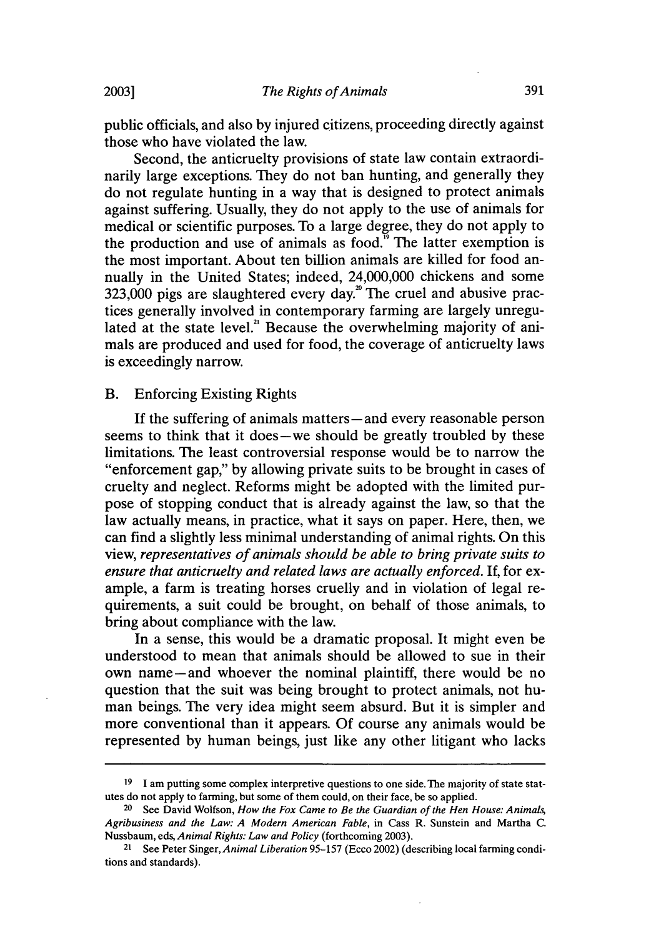public officials, and also by injured citizens, proceeding directly against those who have violated the law.

Second, the anticruelty provisions of state law contain extraordinarily large exceptions. They do not ban hunting, and generally they do not regulate hunting in a way that is designed to protect animals against suffering. Usually, they do not apply to the use of animals for medical or scientific purposes. To a large degree, they do not apply to the production and use of animals as food. $\overline{9}$  The latter exemption is the most important. About ten billion animals are killed for food annually in the United States; indeed, 24,000,000 chickens and some  $323,000$  pigs are slaughtered every day.<sup>20</sup> The cruel and abusive practices generally involved in contemporary farming are largely unregulated at the state level.<sup>21</sup> Because the overwhelming majority of animals are produced and used for food, the coverage of anticruelty laws is exceedingly narrow.

#### B. Enforcing Existing Rights

**2003]**

If the suffering of animals matters—and every reasonable person seems to think that it does—we should be greatly troubled by these limitations. The least controversial response would be to narrow the "enforcement gap," by allowing private suits to be brought in cases of cruelty and neglect. Reforms might be adopted with the limited purpose of stopping conduct that is already against the law, so that the law actually means, in practice, what it says on paper. Here, then, we can find a slightly less minimal understanding of animal rights. On this view, *representatives of animals should be able to bring private suits to ensure that anticruelty and related laws are actually enforced.* If, for example, a farm is treating horses cruelly and in violation of legal requirements, a suit could be brought, on behalf of those animals, to bring about compliance with the law.

In a sense, this would be a dramatic proposal. It might even be understood to mean that animals should be allowed to sue in their own name-and whoever the nominal plaintiff, there would be no question that the suit was being brought to protect animals, not human beings. The very idea might seem absurd. But it is simpler and more conventional than it appears. Of course any animals would be represented by human beings, just like any other litigant who lacks

**<sup>19</sup>** I am putting some complex interpretive questions to one side. The majority of state statutes **do** not apply to farming, but some of them could, on their face, be so applied.

<sup>&</sup>lt;sup>20</sup> See David Wolfson, *How the Fox Came to Be the Guardian of the Hen House: Animals, Agribusiness and the Law: A Modern American Fable,* in Cass R. Sunstein and Martha C. Nussbaum, eds, *Animal Rights: Law and Policy* (forthcoming 2003).

<sup>21</sup> See Peter Singer, *Animal Liberation* 95-157 (Ecco 2002) (describing local farming conditions and standards).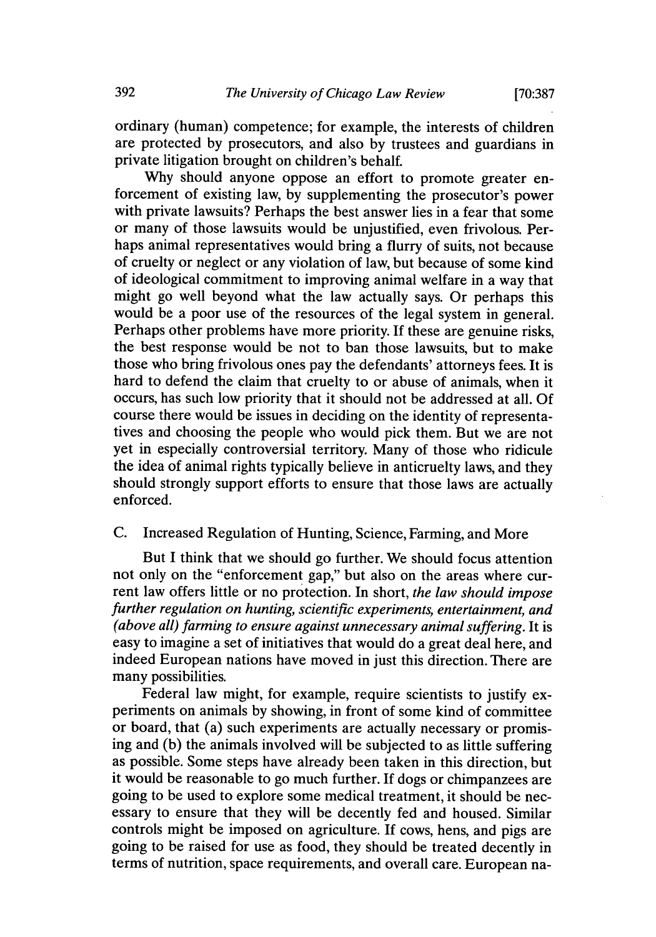ordinary (human) competence; for example, the interests of children are protected by prosecutors, and also by trustees and guardians in private litigation brought on children's behalf.

Why should anyone oppose an effort to promote greater enforcement of existing law, by supplementing the prosecutor's power with private lawsuits? Perhaps the best answer lies in a fear that some or many of those lawsuits would be unjustified, even frivolous. Perhaps animal representatives would bring a flurry of suits, not because of cruelty or neglect or any violation of law, but because of some kind of ideological commitment to improving animal welfare in a way that might go well beyond what the law actually says. Or perhaps this would be a poor use of the resources of the legal system in general. Perhaps other problems have more priority. If these are genuine risks, the best response would be not to ban those lawsuits, but to make those who bring frivolous ones pay the defendants' attorneys fees. It is hard to defend the claim that cruelty to or abuse of animals, when it occurs, has such low priority that it should not be addressed at all. Of course there would be issues in deciding on the identity of representatives and choosing the people who would pick them. But we are not yet in especially controversial territory. Many of those who ridicule the idea of animal rights typically believe in anticruelty laws, and they should strongly support efforts to ensure that those laws are actually enforced.

## C. Increased Regulation of Hunting, Science, Farming, and More

But I think that we should go further. We should focus attention not only on the "enforcement gap," but also on the areas where current law offers little or no protection. In short, *the law should impose further regulation on hunting, scientific experiments, entertainment, and (above all) farming to ensure against unnecessary animal suffering.* It is easy to imagine a set of initiatives that would do a great deal here, and indeed European nations have moved in just this direction. There are many possibilities.

Federal law might, for example, require scientists to justify experiments on animals by showing, in front of some kind of committee or board, that (a) such experiments are actually necessary or promising and (b) the animals involved will be subjected to as little suffering as possible. Some steps have already been taken in this direction, but it would be reasonable to go much further. If dogs or chimpanzees are going to be used to explore some medical treatment, it should be necessary to ensure that they will be decently fed and housed. Similar controls might be imposed on agriculture. If cows, hens, and pigs are going to be raised for use as food, they should be treated decently in terms of nutrition, space requirements, and overall care. European na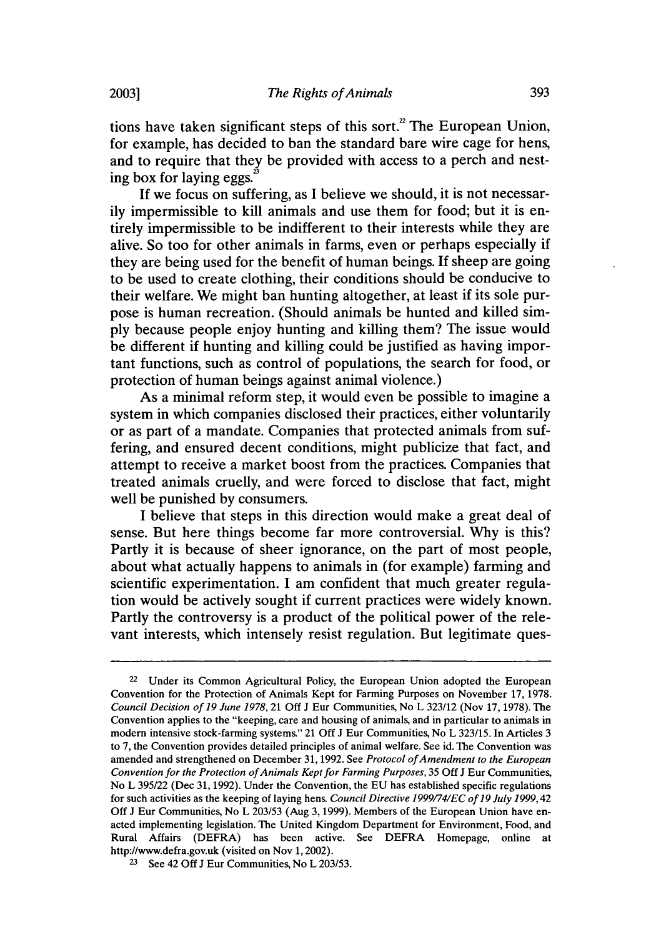tions have taken significant steps of this sort.<sup>2</sup> The European Union, for example, has decided to ban the standard bare wire cage for hens, and to require that they be provided with access to a perch and nesting box for laying eggs.<sup>2</sup>

If we focus on suffering, as I believe we should, it is not necessarily impermissible to kill animals and use them for food; but it is entirely impermissible to be indifferent to their interests while they are alive. So too for other animals in farms, even or perhaps especially if they are being used for the benefit of human beings. If sheep are going to be used to create clothing, their conditions should be conducive to their welfare. We might ban hunting altogether, at least if its sole purpose is human recreation. (Should animals be hunted and killed simply because people enjoy hunting and killing them? The issue would be different if hunting and killing could be justified as having important functions, such as control of populations, the search for food, or protection of human beings against animal violence.)

As a minimal reform step, it would even be possible to imagine a system in which companies disclosed their practices, either voluntarily or as part of a mandate. Companies that protected animals from suffering, and ensured decent conditions, might publicize that fact, and attempt to receive a market boost from the practices. Companies that treated animals cruelly, and were forced to disclose that fact, might well be punished by consumers.

I believe that steps in this direction would make a great deal of sense. But here things become far more controversial. Why is this? Partly it is because of sheer ignorance, on the part of most people, about what actually happens to animals in (for example) farming and scientific experimentation. I am confident that much greater regulation would be actively sought if current practices were widely known. Partly the controversy is a product of the political power of the relevant interests, which intensely resist regulation. But legitimate ques-

<sup>&</sup>lt;sup>22</sup> Under its Common Agricultural Policy, the European Union adopted the European Convention for the Protection of Animals Kept for Farming Purposes on November 17, 1978. *Council Decision of 19 June 1978,* 21 Off J Eur Communities, No L 323/12 (Nov 17, 1978). The Convention applies to the "keeping, care and housing of animals, and in particular to animals in modem intensive stock-farming systems." 21 Off J Eur Communities, No L 323/15. In Articles 3 to 7, the Convention provides detailed principles of animal welfare. See id. The Convention was amended and strengthened on December 31, 1992. See *Protocol of Amendment to the European Convention for the Protection of Animals Kept for Farming Purposes,* 35 Off J Eur Communities, No L 395/22 (Dec 31, 1992). Under the Convention, the EU has established specific regulations for such activities as the keeping of laying hens. *Council Directive 1999/74/EC of 19 July 1999,42* Off J Eur Communities, No L 203/53 (Aug 3, 1999). Members of the European Union have enacted implementing legislation. The United Kingdom Department for Environment, Food, and Rural Affairs (DEFRA) has been active. See DEFRA Homepage, online at http://www.defra.gov.uk (visited on Nov 1, 2002).

**<sup>23</sup>**See 42 **Off** J Eur Communities, No L 203/53.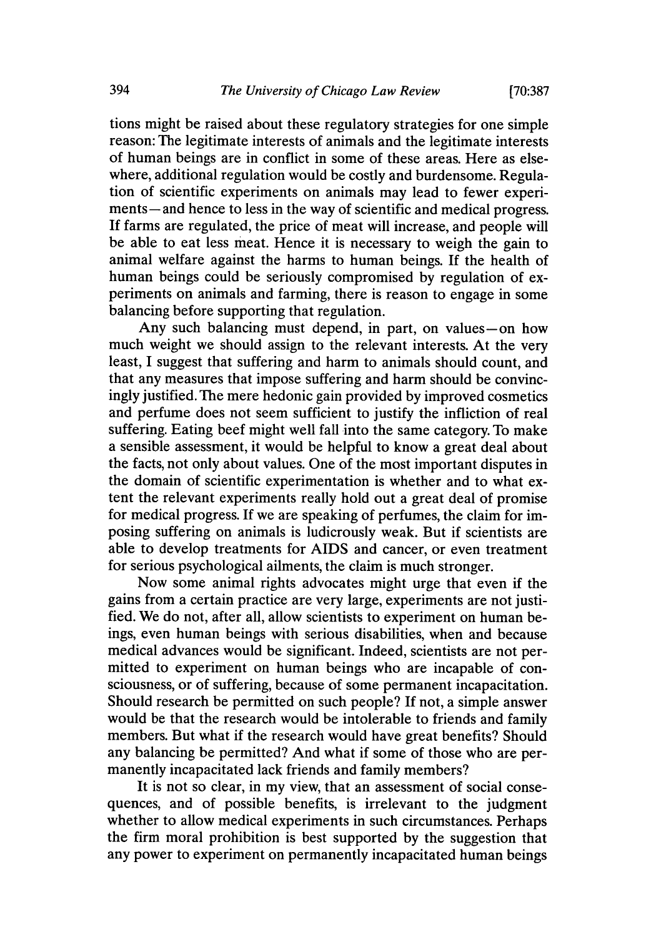tions might be raised about these regulatory strategies for one simple reason: The legitimate interests of animals and the legitimate interests of human beings are in conflict in some of these areas. Here as elsewhere, additional regulation would be costly and burdensome. Regulation of scientific experiments on animals may lead to fewer experiments— and hence to less in the way of scientific and medical progress. If farms are regulated, the price of meat will increase, and people will be able to eat less meat. Hence it is necessary to weigh the gain to animal welfare against the harms to human beings. If the health of human beings could be seriously compromised by regulation of experiments on animals and farming, there is reason to engage in some balancing before supporting that regulation.

Any such balancing must depend, in part, on values-on how much weight we should assign to the relevant interests. At the very least, I suggest that suffering and harm to animals should count, and that any measures that impose suffering and harm should be convincingly justified. The mere hedonic gain provided by improved cosmetics and perfume does not seem sufficient to justify the infliction of real suffering. Eating beef might well fall into the same category. To make a sensible assessment, it would be helpful to know a great deal about the facts, not only about values. One of the most important disputes in the domain of scientific experimentation is whether and to what extent the relevant experiments really hold out a great deal of promise for medical progress. If we are speaking of perfumes, the claim for imposing suffering on animals is ludicrously weak. But if scientists are able to develop treatments for AIDS and cancer, or even treatment for serious psychological ailments, the claim is much stronger.

Now some animal rights advocates might urge that even if the gains from a certain practice are very large, experiments are not justified. We do not, after all, allow scientists to experiment on human beings, even human beings with serious disabilities, when and because medical advances would be significant. Indeed, scientists are not permitted to experiment on human beings who are incapable of consciousness, or of suffering, because of some permanent incapacitation. Should research be permitted on such people? If not, a simple answer would be that the research would be intolerable to friends and family members. But what if the research would have great benefits? Should any balancing be permitted? And what if some of those who are permanently incapacitated lack friends and family members?

It is not so clear, in my view, that an assessment of social consequences, and of possible benefits, is irrelevant to the judgment whether to allow medical experiments in such circumstances. Perhaps the firm moral prohibition is best supported by the suggestion that any power to experiment on permanently incapacitated human beings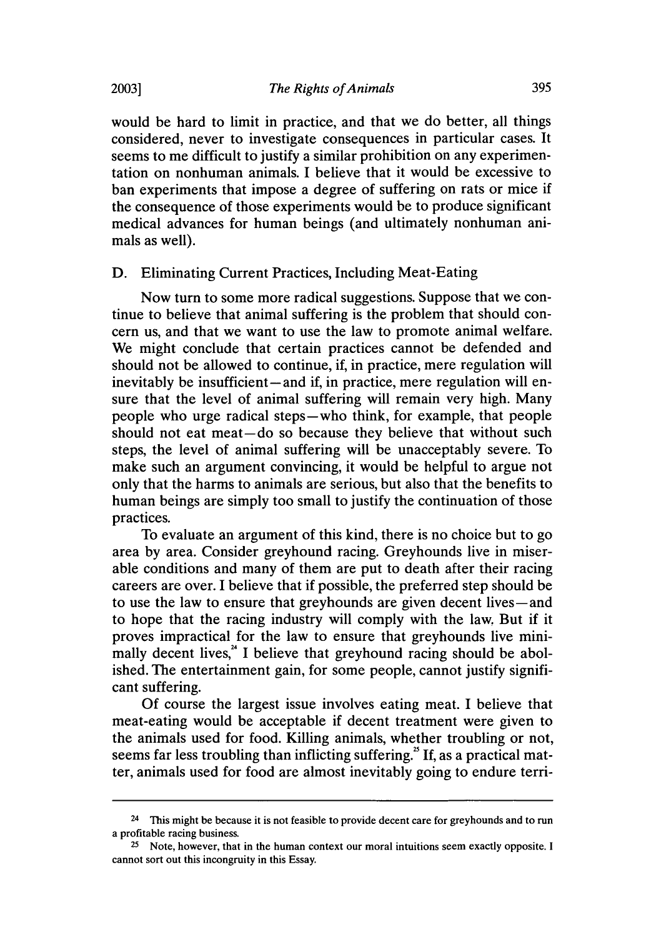would be hard to limit in practice, and that we do better, all things considered, never to investigate consequences in particular cases. It seems to me difficult to justify a similar prohibition on any experimentation on nonhuman animals. I believe that it would be excessive to ban experiments that impose a degree of suffering on rats or mice if the consequence of those experiments would be to produce significant medical advances for human beings (and ultimately nonhuman animals as well).

#### D. Eliminating Current Practices, Including Meat-Eating

Now turn to some more radical suggestions. Suppose that we continue to believe that animal suffering is the problem that should concern us, and that we want to use the law to promote animal welfare. We might conclude that certain practices cannot be defended and should not be allowed to continue, if, in practice, mere regulation will inevitably be insufficient—and if, in practice, mere regulation will ensure that the level of animal suffering will remain very high. Many people who urge radical steps-who think, for example, that people should not eat meat-do so because they believe that without such steps, the level of animal suffering will be unacceptably severe. To make such an argument convincing, it would be helpful to argue not only that the harms to animals are serious, but also that the benefits to human beings are simply too small to justify the continuation of those practices.

To evaluate an argument of this kind, there is no choice but to go area by area. Consider greyhound racing. Greyhounds live in miserable conditions and many of them are put to death after their racing careers are over. I believe that if possible, the preferred step should be to use the law to ensure that greyhounds are given decent lives-and to hope that the racing industry will comply with the law. But if it proves impractical for the law to ensure that greyhounds live minimally decent lives, $^4$  I believe that greyhound racing should be abolished. The entertainment gain, for some people, cannot justify significant suffering.

Of course the largest issue involves eating meat. I believe that meat-eating would be acceptable if decent treatment were given to the animals used for food. Killing animals, whether troubling or not, seems far less troubling than inflicting suffering." **If,** as a practical matter, animals used for food are almost inevitably going to endure terri-

<sup>&</sup>lt;sup>24</sup> This might be because it is not feasible to provide decent care for greyhounds and to run a profitable racing business.

**<sup>25</sup>**Note, however, that in the human context our moral intuitions seem exactly opposite. I cannot sort out this incongruity in this Essay.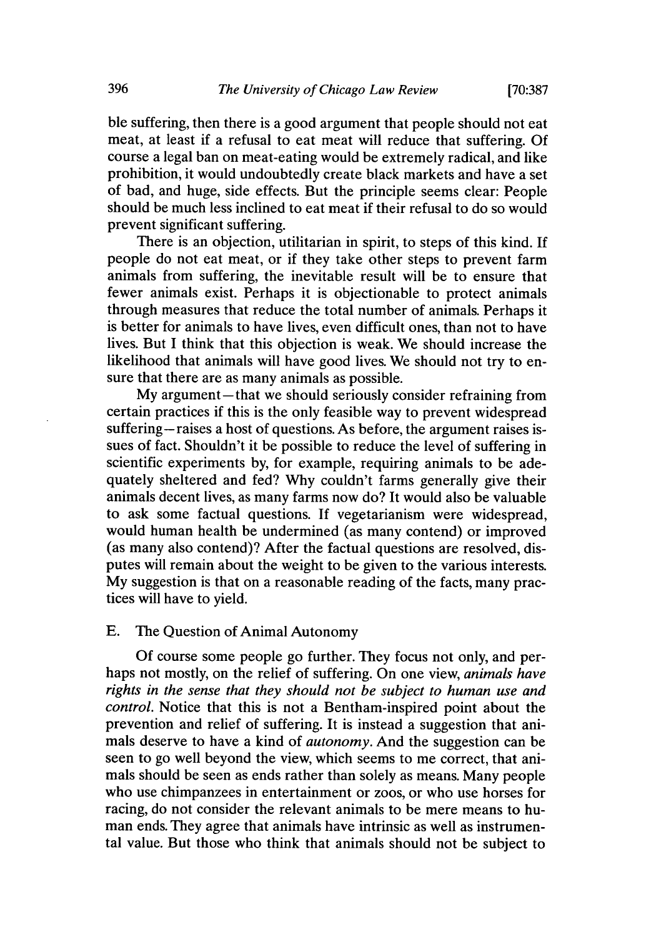**[70:387**

ble suffering, then there is a good argument that people should not eat meat, at least if a refusal to eat meat will reduce that suffering. Of course a legal ban on meat-eating would be extremely radical, and like prohibition, it would undoubtedly create black markets and have a set of bad, and huge, side effects. But the principle seems clear: People should be much less inclined to eat meat if their refusal to do so would prevent significant suffering.

There is an objection, utilitarian in spirit, to steps of this kind. If people do not eat meat, or if they take other steps to prevent farm animals from suffering, the inevitable result will be to ensure that fewer animals exist. Perhaps it is objectionable to protect animals through measures that reduce the total number of animals. Perhaps it is better for animals to have lives, even difficult ones, than not to have lives. But I think that this objection is weak. We should increase the likelihood that animals will have good lives. We should not try to ensure that there are as many animals as possible.

My argument-that we should seriously consider refraining from certain practices if this is the only feasible way to prevent widespread suffering-raises a host of questions. As before, the argument raises issues of fact. Shouldn't it be possible to reduce the level of suffering in scientific experiments by, for example, requiring animals to be adequately sheltered and fed? Why couldn't farms generally give their animals decent lives, as many farms now do? It would also be valuable to ask some factual questions. If vegetarianism were widespread, would human health be undermined (as many contend) or improved (as many also contend)? After the factual questions are resolved, disputes will remain about the weight to be given to the various interests. My suggestion is that on a reasonable reading of the facts, many practices will have to yield.

# E. The Question of Animal Autonomy

Of course some people go further. They focus not only, and perhaps not mostly, on the relief of suffering. On one view, *animals have rights in the sense that they should not be subject to human use and control.* Notice that this is not a Bentham-inspired point about the prevention and relief of suffering. It is instead a suggestion that animals deserve to have a kind of *autonomy.* And the suggestion can be seen to go well beyond the view, which seems to me correct, that animals should be seen as ends rather than solely as means. Many people who use chimpanzees in entertainment or zoos, or who use horses for racing, do not consider the relevant animals to be mere means to human ends. They agree that animals have intrinsic as well as instrumental value. But those who think that animals should not be subject to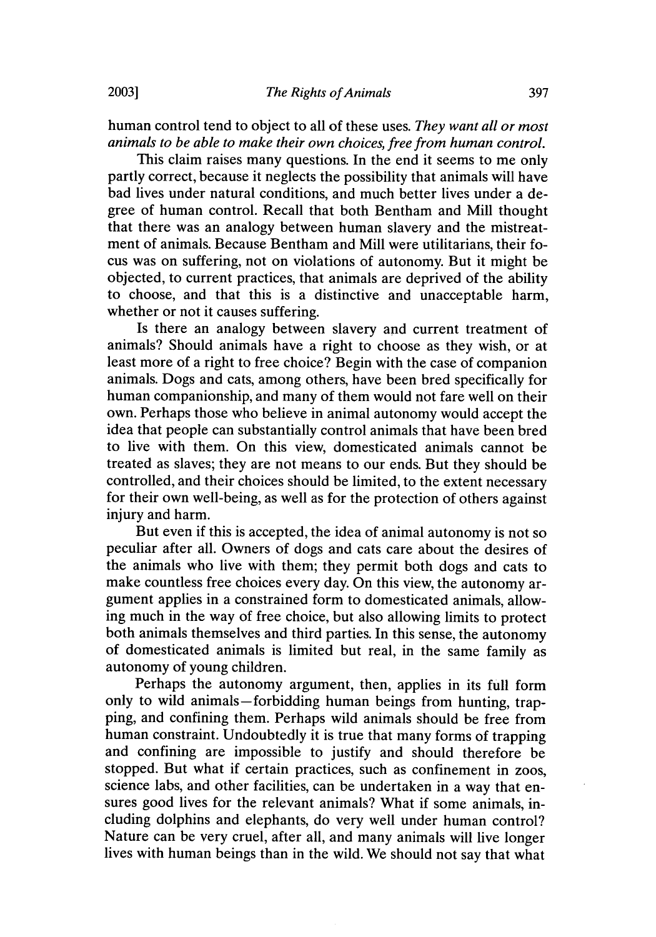human control tend to object to all of these uses. *They want all or most animals to be able to make their own choices, free from human control.*

This claim raises many questions. In the end it seems to me only partly correct, because it neglects the possibility that animals will have bad lives under natural conditions, and much better lives under a degree of human control. Recall that both Bentham and Mill thought that there was an analogy between human slavery and the mistreatment of animals. Because Bentham and Mill were utilitarians, their focus was on suffering, not on violations of autonomy. But it might be objected, to current practices, that animals are deprived of the ability to choose, and that this is a distinctive and unacceptable harm, whether or not it causes suffering.

Is there an analogy between slavery and current treatment of animals? Should animals have a right to choose as they wish, or at least more of a right to free choice? Begin with the case of companion animals. Dogs and cats, among others, have been bred specifically for human companionship, and many of them would not fare well on their own. Perhaps those who believe in animal autonomy would accept the idea that people can substantially control animals that have been bred to live with them. On this view, domesticated animals cannot be treated as slaves; they are not means to our ends. But they should be controlled, and their choices should be limited, to the extent necessary for their own well-being, as well as for the protection of others against injury and harm.

But even if this is accepted, the idea of animal autonomy is not so peculiar after all. Owners of dogs and cats care about the desires of the animals who live with them; they permit both dogs and cats to make countless free choices every day. On this view, the autonomy argument applies in a constrained form to domesticated animals, allowing much in the way of free choice, but also allowing limits to protect both animals themselves and third parties. In this sense, the autonomy of domesticated animals is limited but real, in the same family as autonomy of young children.

Perhaps the autonomy argument, then, applies in its full form only to wild animals-forbidding human beings from hunting, trapping, and confining them. Perhaps wild animals should be free from human constraint. Undoubtedly it is true that many forms of trapping and confining are impossible to justify and should therefore be stopped. But what if certain practices, such as confinement in zoos, science labs, and other facilities, can be undertaken in a way that ensures good lives for the relevant animals? What if some animals, including dolphins and elephants, do very well under human control? Nature can be very cruel, after all, and many animals will live longer lives with human beings than in the wild. We should not say that what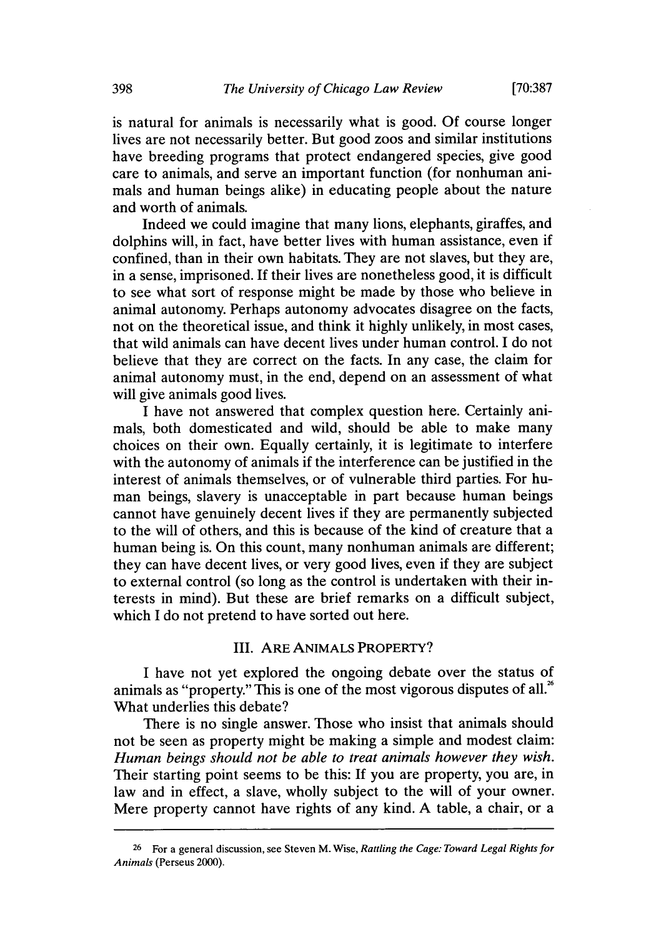**[70:387**

is natural for animals is necessarily what is good. Of course longer lives are not necessarily better. But good zoos and similar institutions have breeding programs that protect endangered species, give good care to animals, and serve an important function (for nonhuman animals and human beings alike) in educating people about the nature and worth of animals.

Indeed we could imagine that many lions, elephants, giraffes, and dolphins will, in fact, have better lives with human assistance, even if confined, than in their own habitats. They are not slaves, but they are, in a sense, imprisoned. If their lives are nonetheless good, it is difficult to see what sort of response might be made by those who believe in animal autonomy. Perhaps autonomy advocates disagree on the facts, not on the theoretical issue, and think it highly unlikely, in most cases, that wild animals can have decent lives under human control. I do not believe that they are correct on the facts. In any case, the claim for animal autonomy must, in the end, depend on an assessment of what will give animals good lives.

I have not answered that complex question here. Certainly animals, both domesticated and wild, should be able to make many choices on their own. Equally certainly, it is legitimate to interfere with the autonomy of animals if the interference can be justified in the interest of animals themselves, or of vulnerable third parties. For human beings, slavery is unacceptable in part because human beings cannot have genuinely decent lives if they are permanently subjected to the will of others, and this is because of the kind of creature that a human being is. On this count, many nonhuman animals are different; they can have decent lives, or very good lives, even if they are subject to external control (so long as the control is undertaken with their interests in mind). But these are brief remarks on a difficult subject, which I do not pretend to have sorted out here.

### **III. ARE ANIMALS** PROPERTY?

I have not yet explored the ongoing debate over the status of animals as "property." This is one of the most vigorous disputes of all. $^{26}$ What underlies this debate?

There is no single answer. Those who insist that animals should not be seen as property might be making a simple and modest claim: *Human beings should not be able to treat animals however they wish.* Their starting point seems to be this: **If** you are property, you are, in law and in effect, a slave, wholly subject to the will of your owner. Mere property cannot have rights of any kind. A table, a chair, or a

**<sup>26</sup>**For a general discussion, see Steven M. Wise, *Rattling the Cage: Toward Legal Rights for Animals* (Perseus 2000).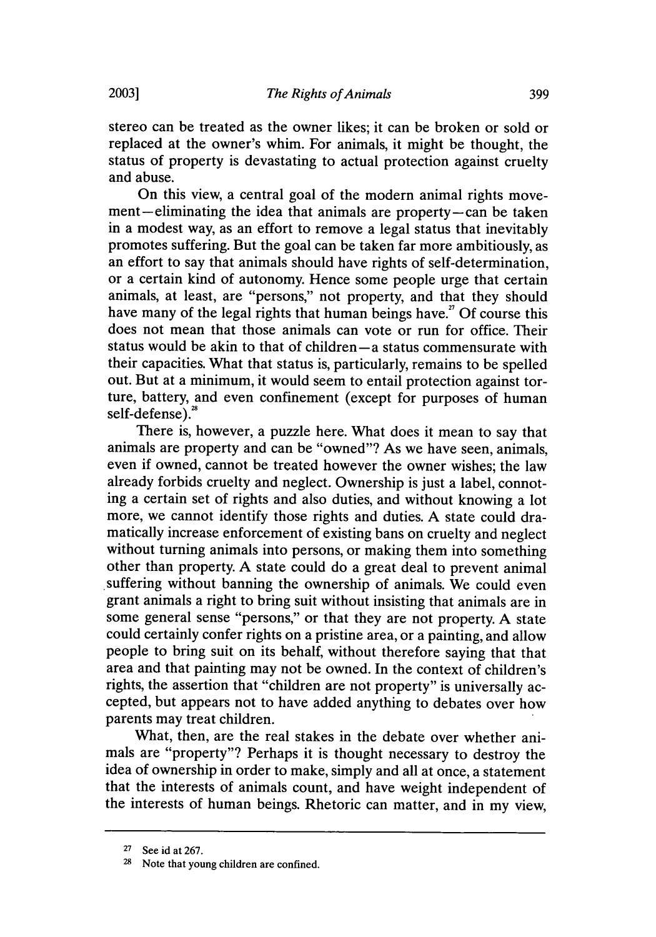**2003]**

stereo can be treated as the owner likes; it can be broken or sold or replaced at the owner's whim. For animals, it might be thought, the status of property is devastating to actual protection against cruelty and abuse.

On this view, a central goal of the modern animal rights movement-eliminating the idea that animals are property-can be taken in a modest way, as an effort to remove a legal status that inevitably promotes suffering. But the goal can be taken far more ambitiously, as an effort to say that animals should have rights of self-determination, or a certain kind of autonomy. Hence some people urge that certain animals, at least, are "persons," not property, and that they should have many of the legal rights that human beings have.<sup> $n$ </sup> Of course this does not mean that those animals can vote or run for office. Their status would be akin to that of children-a status commensurate with their capacities. What that status is, particularly, remains to be spelled out. But at a minimum, it would seem to entail protection against torture, battery, and even confinement (except for purposes of human self-defense).<sup>2</sup>

There is, however, a puzzle here. What does it mean to say that animals are property and can be "owned"? As we have seen, animals, even if owned, cannot be treated however the owner wishes; the law already forbids cruelty and neglect. Ownership is just a label, connoting a certain set of rights and also duties, and without knowing a lot more, we cannot identify those rights and duties. A state could dramatically increase enforcement of existing bans on cruelty and neglect without turning animals into persons, or making them into something other than property. A state could do a great deal to prevent animal suffering without banning the ownership of animals. We could even grant animals a right to bring suit without insisting that animals are in some general sense "persons," or that they are not property. A state could certainly confer rights on a pristine area, or a painting, and allow people to bring suit on its behalf, without therefore saying that that area and that painting may not be owned. In the context of children's rights, the assertion that "children are not property" is universally accepted, but appears not to have added anything to debates over how parents may treat children.

What, then, are the real stakes in the debate over whether animals are "property"? Perhaps it is thought necessary to destroy the idea of ownership in order to make, simply and all at once, a statement that the interests of animals count, and have weight independent of the interests of human beings. Rhetoric can matter, and in my view,

**<sup>27</sup>**See id at 267.

<sup>&</sup>lt;sup>28</sup> Note that young children are confined.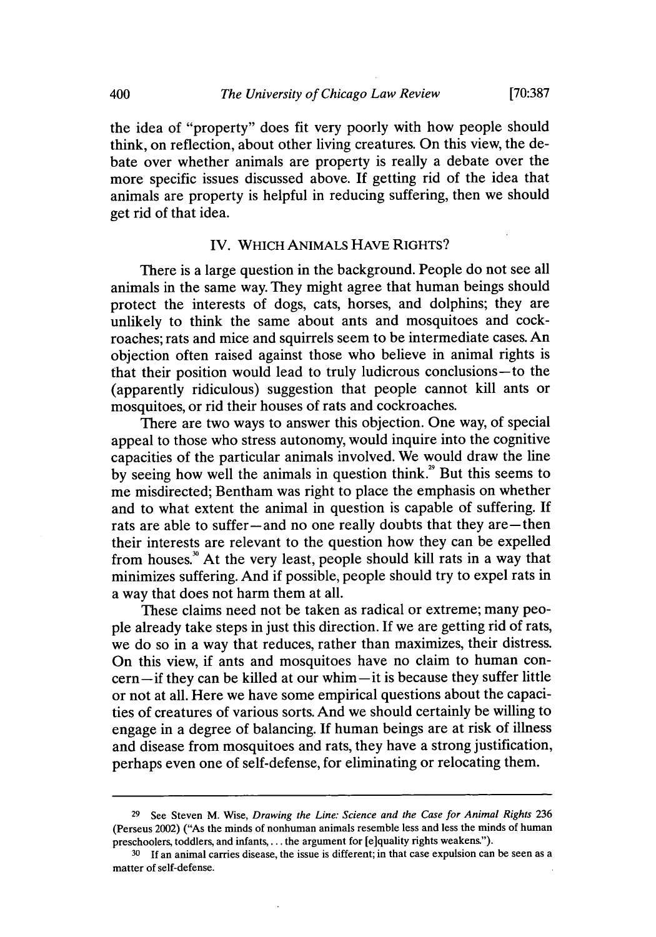the idea of "property" does fit very poorly with how people should think, on reflection, about other living creatures. On this view, the debate over whether animals are property is really a debate over the more specific issues discussed above. If getting rid of the idea that animals are property is helpful in reducing suffering, then we should get rid of that idea.

#### IV. WHICH ANIMALS HAVE RIGHTS?

There is a large question in the background. People do not see all animals in the same way. They might agree that human beings should protect the interests of dogs, cats, horses, and dolphins; they are unlikely to think the same about ants and mosquitoes and cockroaches; rats and mice and squirrels seem to be intermediate cases. An objection often raised against those who believe in animal rights is that their position would lead to truly ludicrous conclusions-to the (apparently ridiculous) suggestion that people cannot kill ants or mosquitoes, or rid their houses of rats and cockroaches.

There are two ways to answer this objection. One way, of special appeal to those who stress autonomy, would inquire into the cognitive capacities of the particular animals involved. We would draw the line by seeing how well the animals in question think.<sup>29</sup> But this seems to me misdirected; Bentham was right to place the emphasis on whether and to what extent the animal in question is capable of suffering. If rats are able to suffer-and no one really doubts that they are - then their interests are relevant to the question how they can be expelled from houses.<sup>30</sup> At the very least, people should kill rats in a way that minimizes suffering. And if possible, people should try to expel rats in a way that does not harm them at all.

These claims need not be taken as radical or extreme; many people already take steps in just this direction. If we are getting rid of rats, we do so in a way that reduces, rather than maximizes, their distress. On this view, if ants and mosquitoes have no claim to human concern-if they can be killed at our whim-it is because they suffer little or not at all. Here we have some empirical questions about the capacities of creatures of various sorts. And we should certainly be willing to engage in a degree of balancing. If human beings are at risk of illness and disease from mosquitoes and rats, they have a strong justification, perhaps even one of self-defense, for eliminating or relocating them.

**<sup>29</sup>**See Steven M. Wise, *Drawing the Line: Science and the Case for Animal Rights* 236 (Perseus 2002) ("As the minds of nonhuman animals resemble less and less the minds of human preschoolers, toddlers, and infants,.., the argument for [e]quality rights weakens").

**<sup>30</sup>**If an animal carries disease, the issue is different; in that case expulsion can be seen as a matter of self-defense.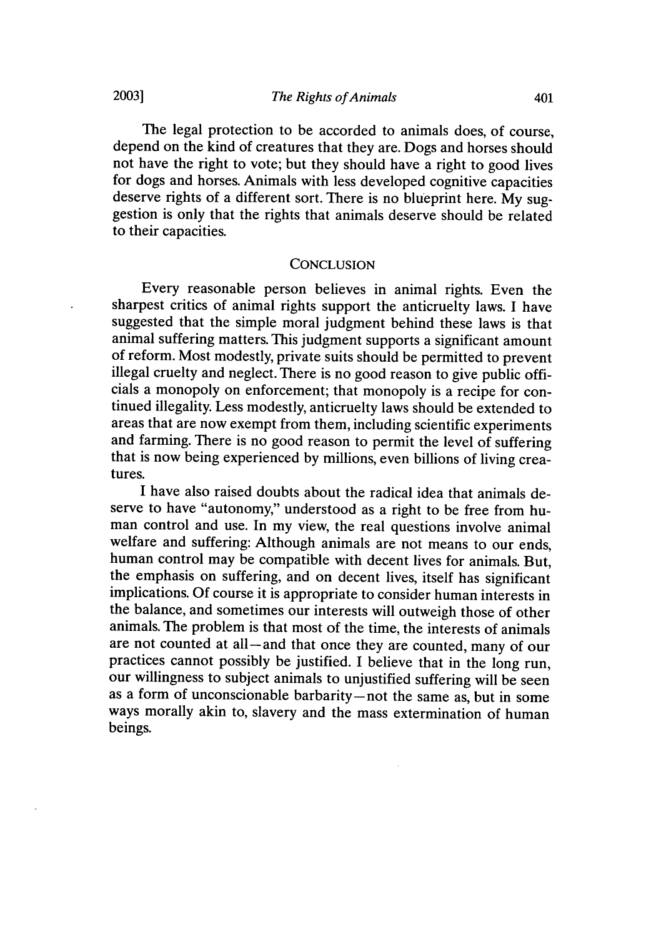The legal protection to be accorded to animals does, of course, depend on the kind of creatures that they are. Dogs and horses should not have the right to vote; but they should have a right to good lives for dogs and horses. Animals with less developed cognitive capacities deserve rights of a different sort. There is no blueprint here. My suggestion is only that the rights that animals deserve should be related to their capacities.

#### **CONCLUSION**

Every reasonable person believes in animal rights. Even the sharpest critics of animal rights support the anticruelty laws. I have suggested that the simple moral judgment behind these laws is that animal suffering matters. This judgment supports a significant amount of reform. Most modestly, private suits should be permitted to prevent illegal cruelty and neglect. There is no good reason to give public officials a monopoly on enforcement; that monopoly is a recipe for continued illegality. Less modestly, anticruelty laws should be extended to areas that are now exempt from them, including scientific experiments and farming. There is no good reason to permit the level of suffering that is now being experienced by millions, even billions of living creatures.

I have also raised doubts about the radical idea that animals deserve to have "autonomy," understood as a right to be free from human control and use. In my view, the real questions involve animal welfare and suffering: Although animals are not means to our ends, human control may be compatible with decent lives for animals. But, the emphasis on suffering, and on decent lives, itself has significant implications. Of course it is appropriate to consider human interests in the balance, and sometimes our interests will outweigh those of other animals. The problem is that most of the time, the interests of animals are not counted at all-and that once they are counted, many of our practices cannot possibly be justified. I believe that in the long run, our willingness to subject animals to unjustified suffering will be seen as a form of unconscionable barbarity-not the same as, but in some ways morally akin to, slavery and the mass extermination of human beings.